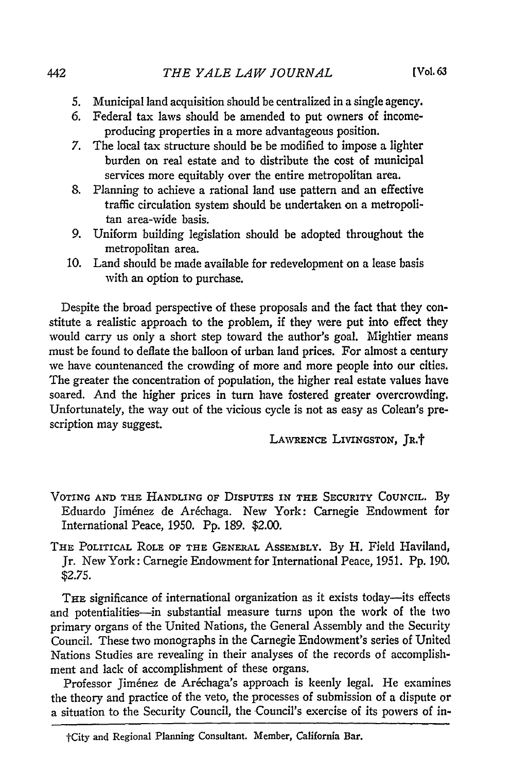- 5. Municipal land acquisition should be centralized in a single agency.
- 6. Federal tax laws should be amended to put owners of incomeproducing properties in a more advantageous position.
- 7. The local tax structure should be be modified to impose a lighter burden on real estate and to distribute the cost of municipal services more equitably over the entire metropolitan area.
- 8. Planning to achieve a rational land use pattern and an effective traffic circulation system should be undertaken on a metropolitan area-wide basis.
- 9. Uniform building legislation should be adopted throughout the metropolitan area.
- 10. Land should be made available for redevelopment on a lease basis with an option to purchase.

Despite the broad perspective of these proposals and the fact that they constitute a realistic approach to the problem, if they were put into effect they would carry us only a short step toward the author's goal. Mightier means must be found to deflate the balloon of urban land prices. For almost a century we have countenanced the crowding of more and more people into our cities. The greater the concentration of population, the higher real estate values have soared. And the higher prices in turn have fostered greater overcrowding. Unfortunately, the way out of the vicious cycle is not as easy as Colean's prescription may suggest.

LAWRENCE LIVINGSTON, JR.<sup>†</sup>

- VOTING AND THE HANDLING **OF** DISPUTES IN **THE** SECURITY **COUNCIL.** By Eduardo Jiménez de Aréchaga. New York: Carnegie Endowment for International Peace, 1950. Pp. 189. \$2.00.
- THE POLITICAL ROLE OF THE **GENERAL** ASSEmBLY. By H. Field Haviland, Jr. New York: Carnegie Endowment for International Peace, 1951. Pp. 190. \$2.75.

THE significance of international organization as it exists today—its effects and potentialities-in substantial measure turns upon the work of the two primary organs of the United Nations, the General Assembly and the Security Council. These two monographs in the Carnegie Endowment's series of United Nations Studies are revealing in their analyses of the records of accomplishment and lack of accomplishment of these organs.

Professor Jiménez de Aréchaga's approach is keenly legal. He examines the theory and practice of the veto, the processes of submission of a dispute or a situation to the Security Council, the Council's exercise of its powers of in-

tCity and Regional Planning Consultant. Member, California Bar.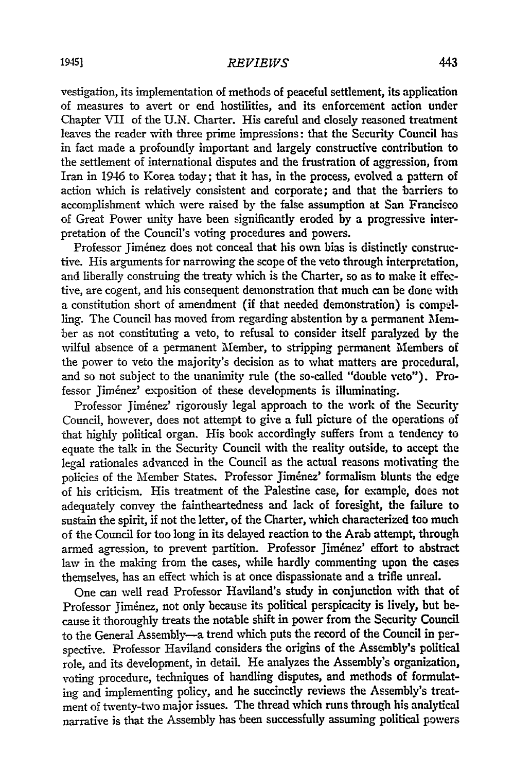## *REVIEWS*

vestigation, its implementation of methods of peaceful settlement, its application of measures to avert or end hostilities, and its enforcement action under Chapter VII of the **U.N.** Charter. His careful and closely reasoned treatment leaves the reader with three prime impressions: that the Security Council has in fact made a profoundly important and largely constructive contribution to the settlement of international disputes and the frustration of aggression, from Iran in 1946 to Korea today; that it has, in the process, evolved a pattern of action which is relatively consistent and corporate; and that the barriers to accomplishment which were raised by the false assumption at San Francisco of Great Power unity have been significantly eroded by a progressive interpretation of the Council's voting procedures and powers.

Professor Jiménez does not conceal that his own bias is distinctly constructive. His arguments for narrowing the scope of the veto through interpretation, and liberally construing the treaty which is the Charter, so as to make it effective, are cogent, and his consequent demonstration that much can be done with a constitution short of amendment (if that needed demonstration) is compelling. The Council has moved from regarding abstention by a permanent Member as not constituting a veto, to refusal to consider itself paralyzed by the wilful absence of a permanent Member, to stripping permanent Members of the power to veto the majority's decision as to what matters are procedural, and so not subject to the unanimity rule (the so-called "double veto"). Professor Jiménez' exposition of these developments is illuminating.

Professor Jiménez' rigorously legal approach to the work of the Security Council, however, does not attempt to give a full picture of the operations of that highly political organ. His book accordingly suffers from a tendency to equate the talk in the Security Council with the reality outside, to accept the legal rationales advanced in the Council as the actual reasons motivating the policies of the Member States. Professor Jiménez' formalism blunts the edge of his criticism. His treatment of the Palestine case, for example, does not adequately convey the faintheartedness and lack of foresight, the failure to sustain the spirit, if not the letter, of the Charter, which characterized too much of the Council for too long in its delayed reaction to the Arab attempt, through armed agression, to prevent partition. Professor Jiménez' effort to abstract law in the making from the cases, while hardly commenting upon the cases themselves, has an effect which is at once dispassionate and a trifle unreal.

One can well read Professor Haviland's study in conjunction with that of Professor Jiménez, not only because its political perspicacity is lively, but because it thoroughly treats the notable shift in power from the Security Council to the General Assembly-a trend which puts the record of the Council in perspective. Professor Haviland considers the origins of the Assembly's political role, and its development, in detail. He analyzes the Assembly's organization, voting procedure, techniques of handling disputes, and methods **of** formulating and implementing policy, and he succinctly reviews the Assembly's treatment of twenty-two major issues. The thread which runs through his analytical narrative is that the Assembly has been successfully assuming political powers